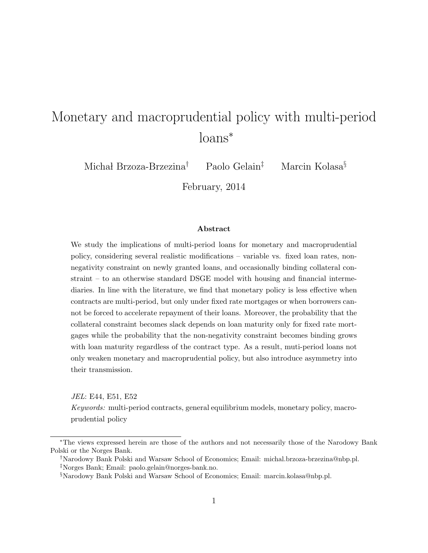# Monetary and macroprudential policy with multi-period loans<sup>∗</sup>

Michał Brzoza-Brzezina<sup>†</sup> Paolo Gelain<sup>‡</sup> Marcin Kolasa<sup>§</sup>

February, 2014

#### Abstract

We study the implications of multi-period loans for monetary and macroprudential policy, considering several realistic modifications – variable vs. fixed loan rates, nonnegativity constraint on newly granted loans, and occasionally binding collateral constraint – to an otherwise standard DSGE model with housing and financial intermediaries. In line with the literature, we find that monetary policy is less effective when contracts are multi-period, but only under fixed rate mortgages or when borrowers cannot be forced to accelerate repayment of their loans. Moreover, the probability that the collateral constraint becomes slack depends on loan maturity only for fixed rate mortgages while the probability that the non-negativity constraint becomes binding grows with loan maturity regardless of the contract type. As a result, muti-period loans not only weaken monetary and macroprudential policy, but also introduce asymmetry into their transmission.

JEL: E44, E51, E52

Keywords: multi-period contracts, general equilibrium models, monetary policy, macroprudential policy

<sup>∗</sup>The views expressed herein are those of the authors and not necessarily those of the Narodowy Bank Polski or the Norges Bank.

<sup>†</sup>Narodowy Bank Polski and Warsaw School of Economics; Email: michal.brzoza-brzezina@nbp.pl. ‡Norges Bank; Email: paolo.gelain@norges-bank.no.

<sup>§</sup>Narodowy Bank Polski and Warsaw School of Economics; Email: marcin.kolasa@nbp.pl.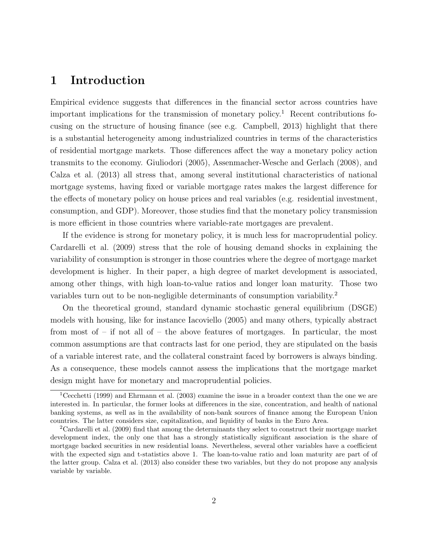## 1 Introduction

Empirical evidence suggests that differences in the financial sector across countries have important implications for the transmission of monetary policy.<sup>1</sup> Recent contributions focusing on the structure of housing finance (see e.g. Campbell, 2013) highlight that there is a substantial heterogeneity among industrialized countries in terms of the characteristics of residential mortgage markets. Those differences affect the way a monetary policy action transmits to the economy. Giuliodori (2005), Assenmacher-Wesche and Gerlach (2008), and Calza et al. (2013) all stress that, among several institutional characteristics of national mortgage systems, having fixed or variable mortgage rates makes the largest difference for the effects of monetary policy on house prices and real variables (e.g. residential investment, consumption, and GDP). Moreover, those studies find that the monetary policy transmission is more efficient in those countries where variable-rate mortgages are prevalent.

If the evidence is strong for monetary policy, it is much less for macroprudential policy. Cardarelli et al. (2009) stress that the role of housing demand shocks in explaining the variability of consumption is stronger in those countries where the degree of mortgage market development is higher. In their paper, a high degree of market development is associated, among other things, with high loan-to-value ratios and longer loan maturity. Those two variables turn out to be non-negligible determinants of consumption variability.<sup>2</sup>

On the theoretical ground, standard dynamic stochastic general equilibrium (DSGE) models with housing, like for instance Iacoviello (2005) and many others, typically abstract from most of – if not all of – the above features of mortgages. In particular, the most common assumptions are that contracts last for one period, they are stipulated on the basis of a variable interest rate, and the collateral constraint faced by borrowers is always binding. As a consequence, these models cannot assess the implications that the mortgage market design might have for monetary and macroprudential policies.

<sup>&</sup>lt;sup>1</sup>Cecchetti (1999) and Ehrmann et al. (2003) examine the issue in a broader context than the one we are interested in. In particular, the former looks at differences in the size, concentration, and health of national banking systems, as well as in the availability of non-bank sources of finance among the European Union countries. The latter considers size, capitalization, and liquidity of banks in the Euro Area.

<sup>2</sup>Cardarelli et al. (2009) find that among the determinants they select to construct their mortgage market development index, the only one that has a strongly statistically significant association is the share of mortgage backed securities in new residential loans. Nevertheless, several other variables have a coefficient with the expected sign and t-statistics above 1. The loan-to-value ratio and loan maturity are part of of the latter group. Calza et al. (2013) also consider these two variables, but they do not propose any analysis variable by variable.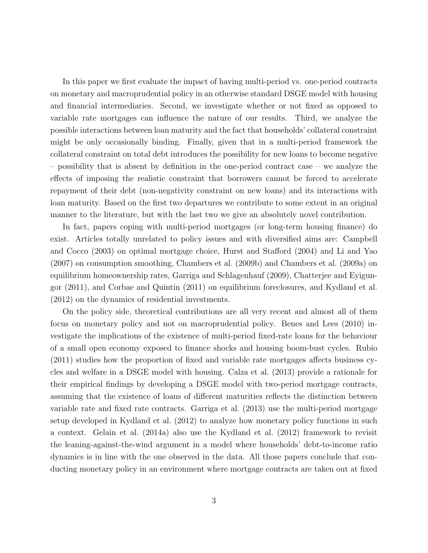In this paper we first evaluate the impact of having multi-period vs. one-period contracts on monetary and macroprudential policy in an otherwise standard DSGE model with housing and financial intermediaries. Second, we investigate whether or not fixed as opposed to variable rate mortgages can influence the nature of our results. Third, we analyze the possible interactions between loan maturity and the fact that households' collateral constraint might be only occasionally binding. Finally, given that in a multi-period framework the collateral constraint on total debt introduces the possibility for new loans to become negative – possibility that is absent by definition in the one-period contract case – we analyze the effects of imposing the realistic constraint that borrowers cannot be forced to accelerate repayment of their debt (non-negativity constraint on new loans) and its interactions with loan maturity. Based on the first two departures we contribute to some extent in an original manner to the literature, but with the last two we give an absolutely novel contribution.

In fact, papers coping with multi-period mortgages (or long-term housing finance) do exist. Articles totally unrelated to policy issues and with diversified aims are: Campbell and Cocco (2003) on optimal mortgage choice, Hurst and Stafford (2004) and Li and Yao (2007) on consumption smoothing, Chambers et al. (2009b) and Chambers et al. (2009a) on equilibrium homeownership rates, Garriga and Schlagenhauf (2009), Chatterjee and Eyigungor (2011), and Corbae and Quintin (2011) on equilibrium foreclosures, and Kydland et al. (2012) on the dynamics of residential investments.

On the policy side, theoretical contributions are all very recent and almost all of them focus on monetary policy and not on macroprudential policy. Benes and Lees (2010) investigate the implications of the existence of multi-period fixed-rate loans for the behaviour of a small open economy exposed to finance shocks and housing boom-bust cycles. Rubio (2011) studies how the proportion of fixed and variable rate mortgages affects business cycles and welfare in a DSGE model with housing. Calza et al. (2013) provide a rationale for their empirical findings by developing a DSGE model with two-period mortgage contracts, assuming that the existence of loans of different maturities reflects the distinction between variable rate and fixed rate contracts. Garriga et al. (2013) use the multi-period mortgage setup developed in Kydland et al. (2012) to analyze how monetary policy functions in such a context. Gelain et al. (2014a) also use the Kydland et al. (2012) framework to revisit the leaning-against-the-wind argument in a model where households' debt-to-income ratio dynamics is in line with the one observed in the data. All those papers conclude that conducting monetary policy in an environment where mortgage contracts are taken out at fixed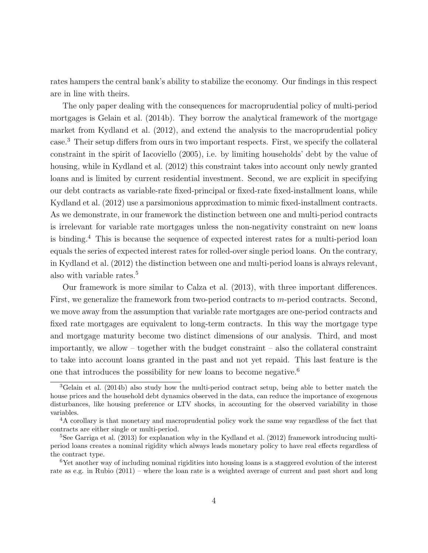rates hampers the central bank's ability to stabilize the economy. Our findings in this respect are in line with theirs.

The only paper dealing with the consequences for macroprudential policy of multi-period mortgages is Gelain et al. (2014b). They borrow the analytical framework of the mortgage market from Kydland et al. (2012), and extend the analysis to the macroprudential policy case.<sup>3</sup> Their setup differs from ours in two important respects. First, we specify the collateral constraint in the spirit of Iacoviello (2005), i.e. by limiting households' debt by the value of housing, while in Kydland et al. (2012) this constraint takes into account only newly granted loans and is limited by current residential investment. Second, we are explicit in specifying our debt contracts as variable-rate fixed-principal or fixed-rate fixed-installment loans, while Kydland et al. (2012) use a parsimonious approximation to mimic fixed-installment contracts. As we demonstrate, in our framework the distinction between one and multi-period contracts is irrelevant for variable rate mortgages unless the non-negativity constraint on new loans is binding.<sup>4</sup> This is because the sequence of expected interest rates for a multi-period loan equals the series of expected interest rates for rolled-over single period loans. On the contrary, in Kydland et al. (2012) the distinction between one and multi-period loans is always relevant, also with variable rates.<sup>5</sup>

Our framework is more similar to Calza et al. (2013), with three important differences. First, we generalize the framework from two-period contracts to m-period contracts. Second, we move away from the assumption that variable rate mortgages are one-period contracts and fixed rate mortgages are equivalent to long-term contracts. In this way the mortgage type and mortgage maturity become two distinct dimensions of our analysis. Third, and most importantly, we allow – together with the budget constraint – also the collateral constraint to take into account loans granted in the past and not yet repaid. This last feature is the one that introduces the possibility for new loans to become negative.<sup>6</sup>

 ${}^{3}$ Gelain et al. (2014b) also study how the multi-period contract setup, being able to better match the house prices and the household debt dynamics observed in the data, can reduce the importance of exogenous disturbances, like housing preference or LTV shocks, in accounting for the observed variability in those variables.

<sup>4</sup>A corollary is that monetary and macroprudential policy work the same way regardless of the fact that contracts are either single or multi-period.

 $5$ See Garriga et al. (2013) for explanation why in the Kydland et al. (2012) framework introducing multiperiod loans creates a nominal rigidity which always leads monetary policy to have real effects regardless of the contract type.

<sup>6</sup>Yet another way of including nominal rigidities into housing loans is a staggered evolution of the interest rate as e.g. in Rubio (2011) – where the loan rate is a weighted average of current and past short and long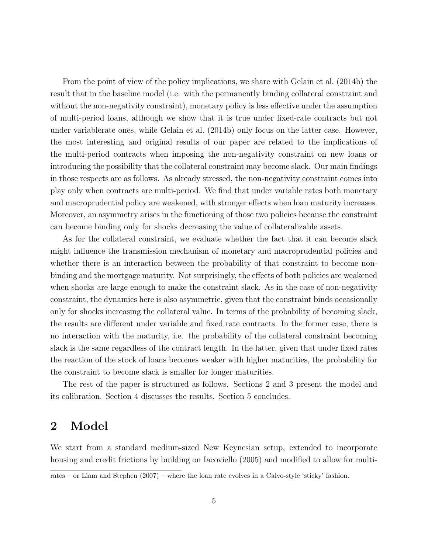From the point of view of the policy implications, we share with Gelain et al. (2014b) the result that in the baseline model (i.e. with the permanently binding collateral constraint and without the non-negativity constraint), monetary policy is less effective under the assumption of multi-period loans, although we show that it is true under fixed-rate contracts but not under variablerate ones, while Gelain et al. (2014b) only focus on the latter case. However, the most interesting and original results of our paper are related to the implications of the multi-period contracts when imposing the non-negativity constraint on new loans or introducing the possibility that the collateral constraint may become slack. Our main findings in those respects are as follows. As already stressed, the non-negativity constraint comes into play only when contracts are multi-period. We find that under variable rates both monetary and macroprudential policy are weakened, with stronger effects when loan maturity increases. Moreover, an asymmetry arises in the functioning of those two policies because the constraint can become binding only for shocks decreasing the value of collateralizable assets.

As for the collateral constraint, we evaluate whether the fact that it can become slack might influence the transmission mechanism of monetary and macroprudential policies and whether there is an interaction between the probability of that constraint to become nonbinding and the mortgage maturity. Not surprisingly, the effects of both policies are weakened when shocks are large enough to make the constraint slack. As in the case of non-negativity constraint, the dynamics here is also asymmetric, given that the constraint binds occasionally only for shocks increasing the collateral value. In terms of the probability of becoming slack, the results are different under variable and fixed rate contracts. In the former case, there is no interaction with the maturity, i.e. the probability of the collateral constraint becoming slack is the same regardless of the contract length. In the latter, given that under fixed rates the reaction of the stock of loans becomes weaker with higher maturities, the probability for the constraint to become slack is smaller for longer maturities.

The rest of the paper is structured as follows. Sections 2 and 3 present the model and its calibration. Section 4 discusses the results. Section 5 concludes.

## 2 Model

We start from a standard medium-sized New Keynesian setup, extended to incorporate housing and credit frictions by building on Iacoviello (2005) and modified to allow for multi-

rates – or Liam and Stephen (2007) – where the loan rate evolves in a Calvo-style 'sticky' fashion.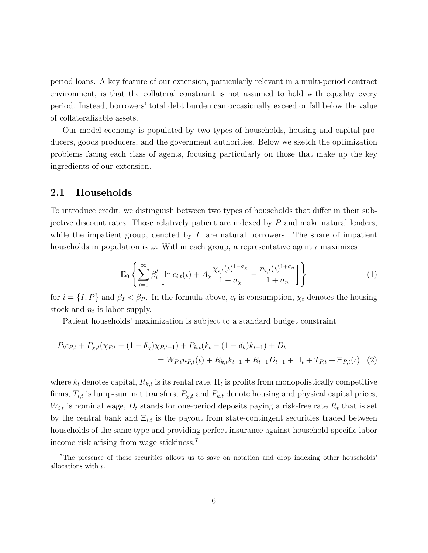period loans. A key feature of our extension, particularly relevant in a multi-period contract environment, is that the collateral constraint is not assumed to hold with equality every period. Instead, borrowers' total debt burden can occasionally exceed or fall below the value of collateralizable assets.

Our model economy is populated by two types of households, housing and capital producers, goods producers, and the government authorities. Below we sketch the optimization problems facing each class of agents, focusing particularly on those that make up the key ingredients of our extension.

#### 2.1 Households

To introduce credit, we distinguish between two types of households that differ in their subjective discount rates. Those relatively patient are indexed by  $P$  and make natural lenders, while the impatient group, denoted by  $I$ , are natural borrowers. The share of impatient households in population is  $\omega$ . Within each group, a representative agent  $\iota$  maximizes

$$
\mathbb{E}_0\left\{\sum_{t=0}^{\infty}\beta_i^t \left[\ln c_{i,t}(\iota) + A_{\chi}\frac{\chi_{i,t}(\iota)^{1-\sigma_{\chi}}}{1-\sigma_{\chi}} - \frac{n_{i,t}(\iota)^{1+\sigma_{n}}}{1+\sigma_{n}}\right]\right\}
$$
(1)

for  $i = \{I, P\}$  and  $\beta_I < \beta_P$ . In the formula above,  $c_t$  is consumption,  $\chi_t$  denotes the housing stock and  $n_t$  is labor supply.

Patient households' maximization is subject to a standard budget constraint

$$
P_t c_{P,t} + P_{\chi,t} (\chi_{P,t} - (1 - \delta_\chi) \chi_{P,t-1}) + P_{k,t} (k_t - (1 - \delta_k) k_{t-1}) + D_t =
$$
  
= 
$$
W_{P,t} n_{P,t}(\iota) + R_{k,t} k_{t-1} + R_{t-1} D_{t-1} + \Pi_t + T_{P,t} + \Xi_{P,t}(\iota) \quad (2)
$$

where  $k_t$  denotes capital,  $R_{k,t}$  is its rental rate,  $\Pi_t$  is profits from monopolistically competitive firms,  $T_{i,t}$  is lump-sum net transfers,  $P_{\chi,t}$  and  $P_{k,t}$  denote housing and physical capital prices,  $W_{i,t}$  is nominal wage,  $D_t$  stands for one-period deposits paying a risk-free rate  $R_t$  that is set by the central bank and  $\Xi_{i,t}$  is the payout from state-contingent securities traded between households of the same type and providing perfect insurance against household-specific labor income risk arising from wage stickiness.<sup>7</sup>

<sup>7</sup>The presence of these securities allows us to save on notation and drop indexing other households' allocations with  $\iota$ .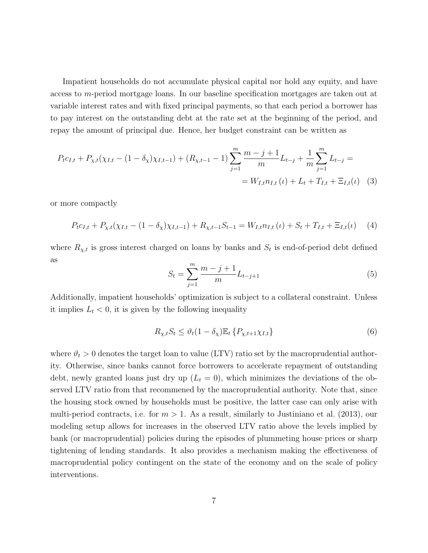Impatient households do not accumulate physical capital nor hold any equity, and have access to m-period mortgage loans. In our baseline specification mortgages are taken out at variable interest rates and with fixed principal payments, so that each period a borrower has to pay interest on the outstanding debt at the rate set at the beginning of the period, and repay the amount of principal due. Hence, her budget constraint can be written as

$$
P_{t}c_{I,t} + P_{\chi,t}(\chi_{I,t} - (1 - \delta_{\chi})\chi_{I,t-1}) + (R_{\chi,t-1} - 1)\sum_{j=1}^{m} \frac{m-j+1}{m}L_{t-j} + \frac{1}{m}\sum_{j=1}^{m} L_{t-j} =
$$
  
= 
$$
W_{I,t}n_{I,t}(t) + L_{t} + T_{I,t} + \Xi_{I,t}(t)
$$
 (3)

or more compactly

$$
P_{t}c_{I,t} + P_{\chi,t}(\chi_{I,t} - (1 - \delta_{\chi})\chi_{I,t-1}) + R_{\chi,t-1}S_{t-1} = W_{I,t}n_{I,t}(\iota) + S_{t} + T_{I,t} + \Xi_{I,t}(\iota) \tag{4}
$$

where  $R_{\chi,t}$  is gross interest charged on loans by banks and  $S_t$  is end-of-period debt defined as

$$
S_t = \sum_{j=1}^{m} \frac{m-j+1}{m} L_{t-j+1}
$$
 (5)

Additionally, impatient households' optimization is subject to a collateral constraint. Unless it implies  $L_t < 0$ , it is given by the following inequality

$$
R_{\chi,t} S_t \le \vartheta_t (1 - \delta_\chi) \mathbb{E}_t \left\{ P_{\chi,t+1} \chi_{I,t} \right\} \tag{6}
$$

where  $\vartheta_t > 0$  denotes the target loan to value (LTV) ratio set by the macroprudential authority. Otherwise, since banks cannot force borrowers to accelerate repayment of outstanding debt, newly granted loans just dry up  $(L_t = 0)$ , which minimizes the deviations of the observed LTV ratio from that recommened by the macroprudential authority. Note that, since the housing stock owned by households must be positive, the latter case can only arise with multi-period contracts, i.e. for  $m > 1$ . As a result, similarly to Justiniano et al. (2013), our modeling setup allows for increases in the observed LTV ratio above the levels implied by bank (or macroprudential) policies during the episodes of plummeting house prices or sharp tightening of lending standards. It also provides a mechanism making the effectiveness of macroprudential policy contingent on the state of the economy and on the scale of policy interventions.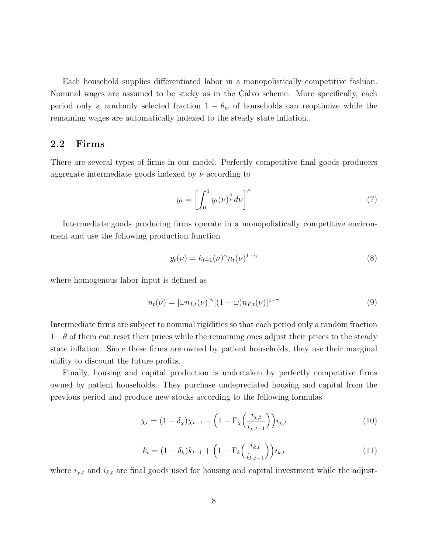Each household supplies differentiated labor in a monopolistically competitive fashion. Nominal wages are assumed to be sticky as in the Calvo scheme. More specifically, each period only a randomly selected fraction  $1 - \theta_w$  of households can reoptimize while the remaining wages are automatically indexed to the steady state inflation.

#### 2.2 Firms

There are several types of firms in our model. Perfectly competitive final goods producers aggregate intermediate goods indexed by  $\nu$  according to

$$
y_t = \left[ \int_0^1 y_t(\nu)^\frac{1}{\mu} d\nu \right]^\mu \tag{7}
$$

Intermediate goods producing firms operate in a monopolistically competitive environment and use the following production function

$$
y_t(\nu) = k_{t-1}(\nu)^{\alpha} n_t(\nu)^{1-\alpha} \tag{8}
$$

where homogenous labor input is defined as

$$
n_t(\nu) = [\omega n_{I,t}(\nu)]^{\gamma} [(1-\omega)n_{P,t}(\nu)]^{1-\gamma}
$$
\n(9)

Intermediate firms are subject to nominal rigidities so that each period only a random fraction  $1-\theta$  of them can reset their prices while the remaining ones adjust their prices to the steady state inflation. Since these firms are owned by patient households, they use their marginal utility to discount the future profits.

Finally, housing and capital production is undertaken by perfectly competitive firms owned by patient households. They purchase undepreciated housing and capital from the previous period and produce new stocks according to the following formulas

$$
\chi_t = (1 - \delta_\chi)\chi_{t-1} + \left(1 - \Gamma_\chi\left(\frac{i_{\chi,t}}{i_{\chi,t-1}}\right)\right)i_{\chi,t} \tag{10}
$$

$$
k_t = (1 - \delta_k)k_{t-1} + \left(1 - \Gamma_k\left(\frac{i_{k,t}}{i_{k,t-1}}\right)\right) i_{k,t}
$$
\n(11)

where  $i_{\chi,t}$  and  $i_{k,t}$  are final goods used for housing and capital investment while the adjust-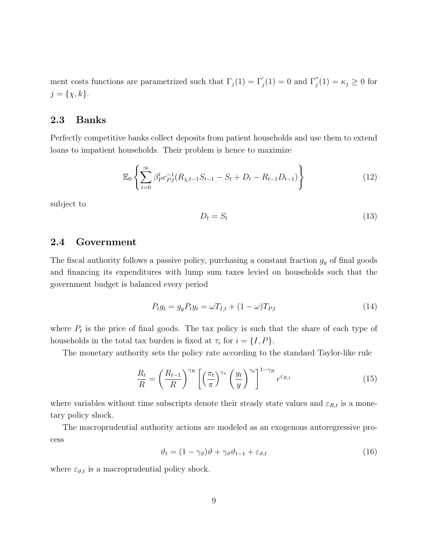ment costs functions are parametrized such that  $\Gamma_j(1) = \Gamma'_j(1) = 0$  and  $\Gamma''_j(1) = \kappa_j \ge 0$  for  $j = {\chi, k}.$ 

### 2.3 Banks

Perfectly competitive banks collect deposits from patient households and use them to extend loans to impatient households. Their problem is hence to maximize

$$
\mathbb{E}_0 \left\{ \sum_{t=0}^{\infty} \beta_P^t c_{P,t}^{-1} (R_{\chi,t-1} S_{t-1} - S_t + D_t - R_{t-1} D_{t-1}) \right\}
$$
(12)

subject to

$$
D_t = S_t \tag{13}
$$

### 2.4 Government

The fiscal authority follows a passive policy, purchasing a constant fraction  $g_y$  of final goods and financing its expenditures with lump sum taxes levied on households such that the government budget is balanced every period

$$
P_t g_t = g_y P_t y_t = \omega T_{I,t} + (1 - \omega) T_{P,t}
$$
\n
$$
(14)
$$

where  $P_t$  is the price of final goods. The tax policy is such that the share of each type of households in the total tax burden is fixed at  $\tau_i$  for  $i = \{I, P\}.$ 

The monetary authority sets the policy rate according to the standard Taylor-like rule

$$
\frac{R_t}{R} = \left(\frac{R_{t-1}}{R}\right)^{\gamma_R} \left[ \left(\frac{\pi_t}{\pi}\right)^{\gamma_\pi} \left(\frac{y_t}{y}\right)^{\gamma_y} \right]^{1-\gamma_R} e^{\varepsilon_{R,t}} \tag{15}
$$

where variables without time subscripts denote their steady state values and  $\varepsilon_{R,t}$  is a monetary policy shock.

The macroprudential authority actions are modeled as an exogenous autoregressive process

$$
\vartheta_t = (1 - \gamma_{\vartheta})\vartheta + \gamma_{\vartheta}\vartheta_{t-1} + \varepsilon_{\vartheta, t} \tag{16}
$$

where  $\varepsilon_{\vartheta,t}$  is a macroprudential policy shock.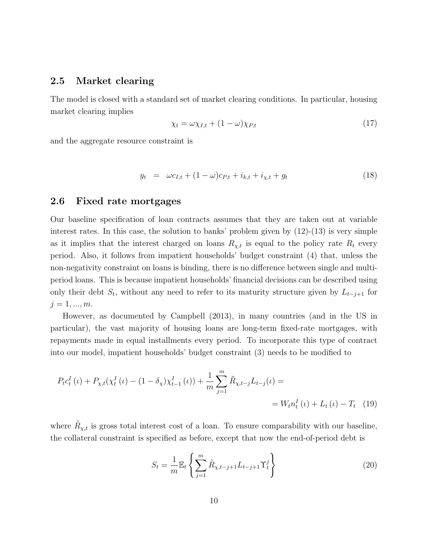### 2.5 Market clearing

The model is closed with a standard set of market clearing conditions. In particular, housing market clearing implies

$$
\chi_t = \omega \chi_{I,t} + (1 - \omega) \chi_{P,t} \tag{17}
$$

and the aggregate resource constraint is

$$
y_t = \omega c_{I,t} + (1 - \omega)c_{P,t} + i_{k,t} + i_{\chi,t} + g_t \tag{18}
$$

#### 2.6 Fixed rate mortgages

Our baseline specification of loan contracts assumes that they are taken out at variable interest rates. In this case, the solution to banks' problem given by  $(12)-(13)$  is very simple as it implies that the interest charged on loans  $R_{\chi,t}$  is equal to the policy rate  $R_t$  every period. Also, it follows from impatient households' budget constraint (4) that, unless the non-negativity constraint on loans is binding, there is no difference between single and multiperiod loans. This is because impatient households' financial decisions can be described using only their debt  $S_t$ , without any need to refer to its maturity structure given by  $L_{t-j+1}$  for  $j = 1, ..., m$ .

However, as documented by Campbell (2013), in many countries (and in the US in particular), the vast majority of housing loans are long-term fixed-rate mortgages, with repayments made in equal installments every period. To incorporate this type of contract into our model, impatient households' budget constraint (3) needs to be modified to

$$
P_{t}c_{t}^{I}(t) + P_{\chi,t}(\chi_{t}^{I}(t) - (1 - \delta_{\chi})\chi_{t-1}^{I}(t)) + \frac{1}{m} \sum_{j=1}^{m} \tilde{R}_{\chi,t-j} L_{t-j}(t) =
$$
  
= 
$$
W_{t}n_{t}^{I}(t) + L_{t}(t) - T_{t} \quad (19)
$$

where  $\tilde{R}_{\chi,t}$  is gross total interest cost of a loan. To ensure comparability with our baseline, the collateral constraint is specified as before, except that now the end-of-period debt is

$$
S_t = \frac{1}{m} \mathbb{E}_t \left\{ \sum_{j=1}^m \tilde{R}_{\chi, t-j+1} L_{t-j+1} \Upsilon_t^j \right\}
$$
 (20)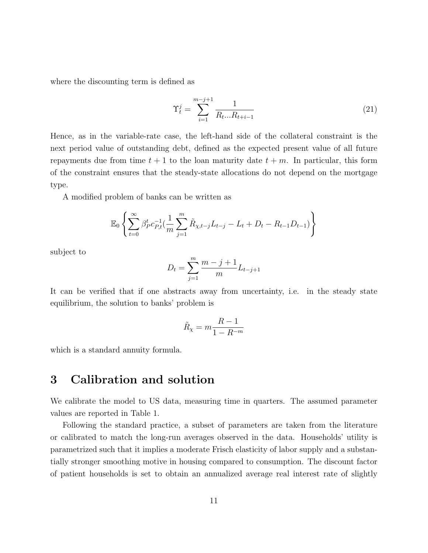where the discounting term is defined as

$$
\Upsilon_t^j = \sum_{i=1}^{m-j+1} \frac{1}{R_{t\cdots} R_{t+i-1}} \tag{21}
$$

Hence, as in the variable-rate case, the left-hand side of the collateral constraint is the next period value of outstanding debt, defined as the expected present value of all future repayments due from time  $t + 1$  to the loan maturity date  $t + m$ . In particular, this form of the constraint ensures that the steady-state allocations do not depend on the mortgage type.

A modified problem of banks can be written as

$$
\mathbb{E}_0 \left\{ \sum_{t=0}^{\infty} \beta_P^t c_{P,t}^{-1} \left( \frac{1}{m} \sum_{j=1}^m \tilde{R}_{\chi, t-j} L_{t-j} - L_t + D_t - R_{t-1} D_{t-1} \right) \right\}
$$

subject to

$$
D_t = \sum_{j=1}^{m} \frac{m-j+1}{m} L_{t-j+1}
$$

It can be verified that if one abstracts away from uncertainty, i.e. in the steady state equilibrium, the solution to banks' problem is

$$
\tilde{R}_{\chi} = m \frac{R - 1}{1 - R^{-m}}
$$

which is a standard annuity formula.

## 3 Calibration and solution

We calibrate the model to US data, measuring time in quarters. The assumed parameter values are reported in Table 1.

Following the standard practice, a subset of parameters are taken from the literature or calibrated to match the long-run averages observed in the data. Households' utility is parametrized such that it implies a moderate Frisch elasticity of labor supply and a substantially stronger smoothing motive in housing compared to consumption. The discount factor of patient households is set to obtain an annualized average real interest rate of slightly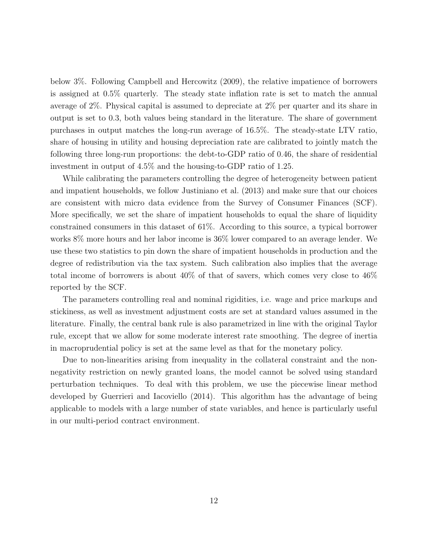below 3%. Following Campbell and Hercowitz (2009), the relative impatience of borrowers is assigned at 0.5% quarterly. The steady state inflation rate is set to match the annual average of 2%. Physical capital is assumed to depreciate at 2% per quarter and its share in output is set to 0.3, both values being standard in the literature. The share of government purchases in output matches the long-run average of 16.5%. The steady-state LTV ratio, share of housing in utility and housing depreciation rate are calibrated to jointly match the following three long-run proportions: the debt-to-GDP ratio of 0.46, the share of residential investment in output of 4.5% and the housing-to-GDP ratio of 1.25.

While calibrating the parameters controlling the degree of heterogeneity between patient and impatient households, we follow Justiniano et al. (2013) and make sure that our choices are consistent with micro data evidence from the Survey of Consumer Finances (SCF). More specifically, we set the share of impatient households to equal the share of liquidity constrained consumers in this dataset of 61%. According to this source, a typical borrower works 8% more hours and her labor income is 36% lower compared to an average lender. We use these two statistics to pin down the share of impatient households in production and the degree of redistribution via the tax system. Such calibration also implies that the average total income of borrowers is about 40% of that of savers, which comes very close to 46% reported by the SCF.

The parameters controlling real and nominal rigidities, i.e. wage and price markups and stickiness, as well as investment adjustment costs are set at standard values assumed in the literature. Finally, the central bank rule is also parametrized in line with the original Taylor rule, except that we allow for some moderate interest rate smoothing. The degree of inertia in macroprudential policy is set at the same level as that for the monetary policy.

Due to non-linearities arising from inequality in the collateral constraint and the nonnegativity restriction on newly granted loans, the model cannot be solved using standard perturbation techniques. To deal with this problem, we use the piecewise linear method developed by Guerrieri and Iacoviello (2014). This algorithm has the advantage of being applicable to models with a large number of state variables, and hence is particularly useful in our multi-period contract environment.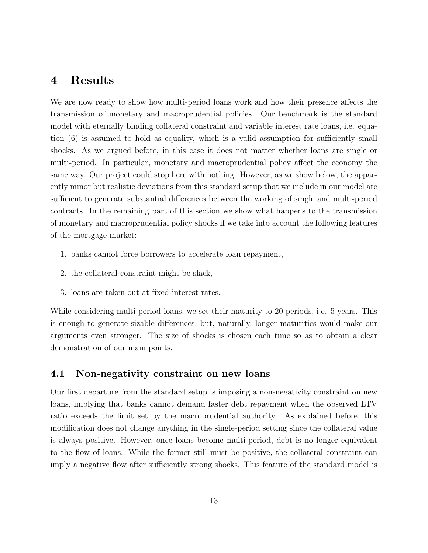## 4 Results

We are now ready to show how multi-period loans work and how their presence affects the transmission of monetary and macroprudential policies. Our benchmark is the standard model with eternally binding collateral constraint and variable interest rate loans, i.e. equation (6) is assumed to hold as equality, which is a valid assumption for sufficiently small shocks. As we argued before, in this case it does not matter whether loans are single or multi-period. In particular, monetary and macroprudential policy affect the economy the same way. Our project could stop here with nothing. However, as we show below, the apparently minor but realistic deviations from this standard setup that we include in our model are sufficient to generate substantial differences between the working of single and multi-period contracts. In the remaining part of this section we show what happens to the transmission of monetary and macroprudential policy shocks if we take into account the following features of the mortgage market:

- 1. banks cannot force borrowers to accelerate loan repayment,
- 2. the collateral constraint might be slack,
- 3. loans are taken out at fixed interest rates.

While considering multi-period loans, we set their maturity to 20 periods, i.e. 5 years. This is enough to generate sizable differences, but, naturally, longer maturities would make our arguments even stronger. The size of shocks is chosen each time so as to obtain a clear demonstration of our main points.

#### 4.1 Non-negativity constraint on new loans

Our first departure from the standard setup is imposing a non-negativity constraint on new loans, implying that banks cannot demand faster debt repayment when the observed LTV ratio exceeds the limit set by the macroprudential authority. As explained before, this modification does not change anything in the single-period setting since the collateral value is always positive. However, once loans become multi-period, debt is no longer equivalent to the flow of loans. While the former still must be positive, the collateral constraint can imply a negative flow after sufficiently strong shocks. This feature of the standard model is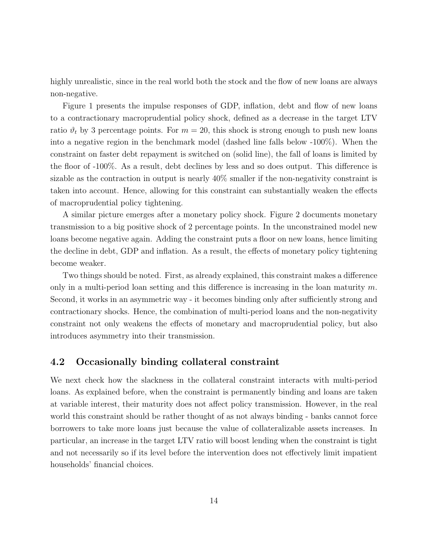highly unrealistic, since in the real world both the stock and the flow of new loans are always non-negative.

Figure 1 presents the impulse responses of GDP, inflation, debt and flow of new loans to a contractionary macroprudential policy shock, defined as a decrease in the target LTV ratio  $\vartheta_t$  by 3 percentage points. For  $m = 20$ , this shock is strong enough to push new loans into a negative region in the benchmark model (dashed line falls below -100%). When the constraint on faster debt repayment is switched on (solid line), the fall of loans is limited by the floor of -100%. As a result, debt declines by less and so does output. This difference is sizable as the contraction in output is nearly 40% smaller if the non-negativity constraint is taken into account. Hence, allowing for this constraint can substantially weaken the effects of macroprudential policy tightening.

A similar picture emerges after a monetary policy shock. Figure 2 documents monetary transmission to a big positive shock of 2 percentage points. In the unconstrained model new loans become negative again. Adding the constraint puts a floor on new loans, hence limiting the decline in debt, GDP and inflation. As a result, the effects of monetary policy tightening become weaker.

Two things should be noted. First, as already explained, this constraint makes a difference only in a multi-period loan setting and this difference is increasing in the loan maturity  $m$ . Second, it works in an asymmetric way - it becomes binding only after sufficiently strong and contractionary shocks. Hence, the combination of multi-period loans and the non-negativity constraint not only weakens the effects of monetary and macroprudential policy, but also introduces asymmetry into their transmission.

#### 4.2 Occasionally binding collateral constraint

We next check how the slackness in the collateral constraint interacts with multi-period loans. As explained before, when the constraint is permanently binding and loans are taken at variable interest, their maturity does not affect policy transmission. However, in the real world this constraint should be rather thought of as not always binding - banks cannot force borrowers to take more loans just because the value of collateralizable assets increases. In particular, an increase in the target LTV ratio will boost lending when the constraint is tight and not necessarily so if its level before the intervention does not effectively limit impatient households' financial choices.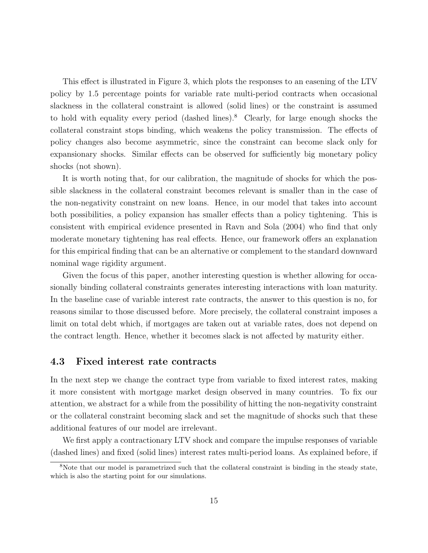This effect is illustrated in Figure 3, which plots the responses to an easening of the LTV policy by 1.5 percentage points for variable rate multi-period contracts when occasional slackness in the collateral constraint is allowed (solid lines) or the constraint is assumed to hold with equality every period (dashed lines).<sup>8</sup> Clearly, for large enough shocks the collateral constraint stops binding, which weakens the policy transmission. The effects of policy changes also become asymmetric, since the constraint can become slack only for expansionary shocks. Similar effects can be observed for sufficiently big monetary policy shocks (not shown).

It is worth noting that, for our calibration, the magnitude of shocks for which the possible slackness in the collateral constraint becomes relevant is smaller than in the case of the non-negativity constraint on new loans. Hence, in our model that takes into account both possibilities, a policy expansion has smaller effects than a policy tightening. This is consistent with empirical evidence presented in Ravn and Sola (2004) who find that only moderate monetary tightening has real effects. Hence, our framework offers an explanation for this empirical finding that can be an alternative or complement to the standard downward nominal wage rigidity argument.

Given the focus of this paper, another interesting question is whether allowing for occasionally binding collateral constraints generates interesting interactions with loan maturity. In the baseline case of variable interest rate contracts, the answer to this question is no, for reasons similar to those discussed before. More precisely, the collateral constraint imposes a limit on total debt which, if mortgages are taken out at variable rates, does not depend on the contract length. Hence, whether it becomes slack is not affected by maturity either.

#### 4.3 Fixed interest rate contracts

In the next step we change the contract type from variable to fixed interest rates, making it more consistent with mortgage market design observed in many countries. To fix our attention, we abstract for a while from the possibility of hitting the non-negativity constraint or the collateral constraint becoming slack and set the magnitude of shocks such that these additional features of our model are irrelevant.

We first apply a contractionary LTV shock and compare the impulse responses of variable (dashed lines) and fixed (solid lines) interest rates multi-period loans. As explained before, if

<sup>8</sup>Note that our model is parametrized such that the collateral constraint is binding in the steady state, which is also the starting point for our simulations.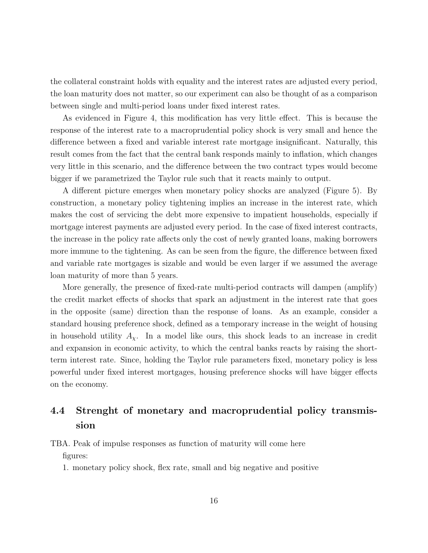the collateral constraint holds with equality and the interest rates are adjusted every period, the loan maturity does not matter, so our experiment can also be thought of as a comparison between single and multi-period loans under fixed interest rates.

As evidenced in Figure 4, this modification has very little effect. This is because the response of the interest rate to a macroprudential policy shock is very small and hence the difference between a fixed and variable interest rate mortgage insignificant. Naturally, this result comes from the fact that the central bank responds mainly to inflation, which changes very little in this scenario, and the difference between the two contract types would become bigger if we parametrized the Taylor rule such that it reacts mainly to output.

A different picture emerges when monetary policy shocks are analyzed (Figure 5). By construction, a monetary policy tightening implies an increase in the interest rate, which makes the cost of servicing the debt more expensive to impatient households, especially if mortgage interest payments are adjusted every period. In the case of fixed interest contracts, the increase in the policy rate affects only the cost of newly granted loans, making borrowers more immune to the tightening. As can be seen from the figure, the difference between fixed and variable rate mortgages is sizable and would be even larger if we assumed the average loan maturity of more than 5 years.

More generally, the presence of fixed-rate multi-period contracts will dampen (amplify) the credit market effects of shocks that spark an adjustment in the interest rate that goes in the opposite (same) direction than the response of loans. As an example, consider a standard housing preference shock, defined as a temporary increase in the weight of housing in household utility  $A_{\chi}$ . In a model like ours, this shock leads to an increase in credit and expansion in economic activity, to which the central banks reacts by raising the shortterm interest rate. Since, holding the Taylor rule parameters fixed, monetary policy is less powerful under fixed interest mortgages, housing preference shocks will have bigger effects on the economy.

# 4.4 Strenght of monetary and macroprudential policy transmission

TBA. Peak of impulse responses as function of maturity will come here figures:

1. monetary policy shock, flex rate, small and big negative and positive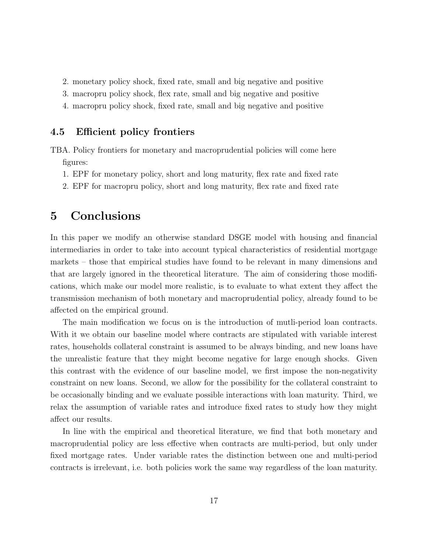2. monetary policy shock, fixed rate, small and big negative and positive

- 3. macropru policy shock, flex rate, small and big negative and positive
- 4. macropru policy shock, fixed rate, small and big negative and positive

#### 4.5 Efficient policy frontiers

- TBA. Policy frontiers for monetary and macroprudential policies will come here figures:
	- 1. EPF for monetary policy, short and long maturity, flex rate and fixed rate
	- 2. EPF for macropru policy, short and long maturity, flex rate and fixed rate

## 5 Conclusions

In this paper we modify an otherwise standard DSGE model with housing and financial intermediaries in order to take into account typical characteristics of residential mortgage markets – those that empirical studies have found to be relevant in many dimensions and that are largely ignored in the theoretical literature. The aim of considering those modifications, which make our model more realistic, is to evaluate to what extent they affect the transmission mechanism of both monetary and macroprudential policy, already found to be affected on the empirical ground.

The main modification we focus on is the introduction of mutli-period loan contracts. With it we obtain our baseline model where contracts are stipulated with variable interest rates, households collateral constraint is assumed to be always binding, and new loans have the unrealistic feature that they might become negative for large enough shocks. Given this contrast with the evidence of our baseline model, we first impose the non-negativity constraint on new loans. Second, we allow for the possibility for the collateral constraint to be occasionally binding and we evaluate possible interactions with loan maturity. Third, we relax the assumption of variable rates and introduce fixed rates to study how they might affect our results.

In line with the empirical and theoretical literature, we find that both monetary and macroprudential policy are less effective when contracts are multi-period, but only under fixed mortgage rates. Under variable rates the distinction between one and multi-period contracts is irrelevant, i.e. both policies work the same way regardless of the loan maturity.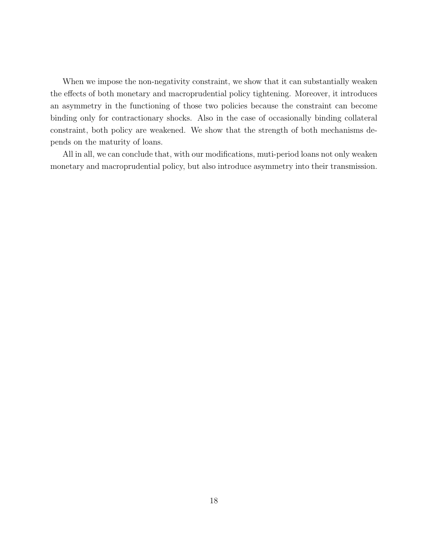When we impose the non-negativity constraint, we show that it can substantially weaken the effects of both monetary and macroprudential policy tightening. Moreover, it introduces an asymmetry in the functioning of those two policies because the constraint can become binding only for contractionary shocks. Also in the case of occasionally binding collateral constraint, both policy are weakened. We show that the strength of both mechanisms depends on the maturity of loans.

All in all, we can conclude that, with our modifications, muti-period loans not only weaken monetary and macroprudential policy, but also introduce asymmetry into their transmission.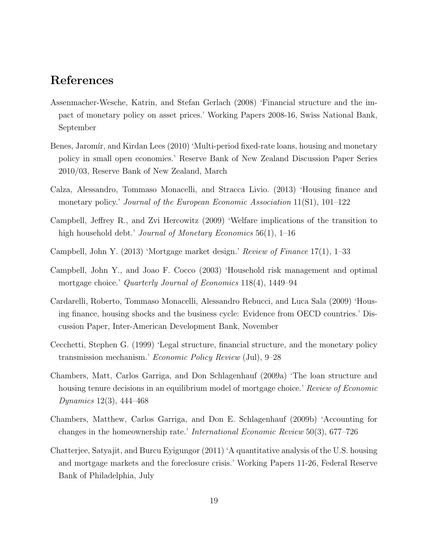## References

- Assenmacher-Wesche, Katrin, and Stefan Gerlach (2008) 'Financial structure and the impact of monetary policy on asset prices.' Working Papers 2008-16, Swiss National Bank, September
- Benes, Jaromír, and Kirdan Lees (2010) 'Multi-period fixed-rate loans, housing and monetary policy in small open economies.' Reserve Bank of New Zealand Discussion Paper Series 2010/03, Reserve Bank of New Zealand, March
- Calza, Alessandro, Tommaso Monacelli, and Stracca Livio. (2013) 'Housing finance and monetary policy.' Journal of the European Economic Association 11(S1), 101–122
- Campbell, Jeffrey R., and Zvi Hercowitz (2009) 'Welfare implications of the transition to high household debt.' Journal of Monetary Economics 56(1), 1–16
- Campbell, John Y. (2013) 'Mortgage market design.' Review of Finance 17(1), 1–33
- Campbell, John Y., and Joao F. Cocco (2003) 'Household risk management and optimal mortgage choice.' Quarterly Journal of Economics 118(4), 1449–94
- Cardarelli, Roberto, Tommaso Monacelli, Alessandro Rebucci, and Luca Sala (2009) 'Housing finance, housing shocks and the business cycle: Evidence from OECD countries.' Discussion Paper, Inter-American Development Bank, November
- Cecchetti, Stephen G. (1999) 'Legal structure, financial structure, and the monetary policy transmission mechanism.' Economic Policy Review (Jul), 9–28
- Chambers, Matt, Carlos Garriga, and Don Schlagenhauf (2009a) 'The loan structure and housing tenure decisions in an equilibrium model of mortgage choice.' Review of Economic Dynamics 12(3), 444–468
- Chambers, Matthew, Carlos Garriga, and Don E. Schlagenhauf (2009b) 'Accounting for changes in the homeownership rate.' International Economic Review 50(3), 677–726
- Chatterjee, Satyajit, and Burcu Eyigungor (2011) 'A quantitative analysis of the U.S. housing and mortgage markets and the foreclosure crisis.' Working Papers 11-26, Federal Reserve Bank of Philadelphia, July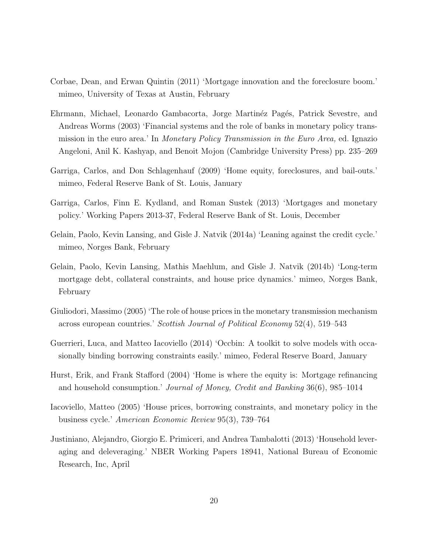- Corbae, Dean, and Erwan Quintin (2011) 'Mortgage innovation and the foreclosure boom.' mimeo, University of Texas at Austin, February
- Ehrmann, Michael, Leonardo Gambacorta, Jorge Martin´ez Pag´es, Patrick Sevestre, and Andreas Worms (2003) 'Financial systems and the role of banks in monetary policy transmission in the euro area.' In Monetary Policy Transmission in the Euro Area, ed. Ignazio Angeloni, Anil K. Kashyap, and Benoit Mojon (Cambridge University Press) pp. 235–269
- Garriga, Carlos, and Don Schlagenhauf (2009) 'Home equity, foreclosures, and bail-outs.' mimeo, Federal Reserve Bank of St. Louis, January
- Garriga, Carlos, Finn E. Kydland, and Roman Sustek (2013) 'Mortgages and monetary policy.' Working Papers 2013-37, Federal Reserve Bank of St. Louis, December
- Gelain, Paolo, Kevin Lansing, and Gisle J. Natvik (2014a) 'Leaning against the credit cycle.' mimeo, Norges Bank, February
- Gelain, Paolo, Kevin Lansing, Mathis Maehlum, and Gisle J. Natvik (2014b) 'Long-term mortgage debt, collateral constraints, and house price dynamics.' mimeo, Norges Bank, February
- Giuliodori, Massimo (2005) 'The role of house prices in the monetary transmission mechanism across european countries.' Scottish Journal of Political Economy 52(4), 519–543
- Guerrieri, Luca, and Matteo Iacoviello (2014) 'Occbin: A toolkit to solve models with occasionally binding borrowing constraints easily.' mimeo, Federal Reserve Board, January
- Hurst, Erik, and Frank Stafford (2004) 'Home is where the equity is: Mortgage refinancing and household consumption.' Journal of Money, Credit and Banking 36(6), 985–1014
- Iacoviello, Matteo (2005) 'House prices, borrowing constraints, and monetary policy in the business cycle.' American Economic Review 95(3), 739–764
- Justiniano, Alejandro, Giorgio E. Primiceri, and Andrea Tambalotti (2013) 'Household leveraging and deleveraging.' NBER Working Papers 18941, National Bureau of Economic Research, Inc, April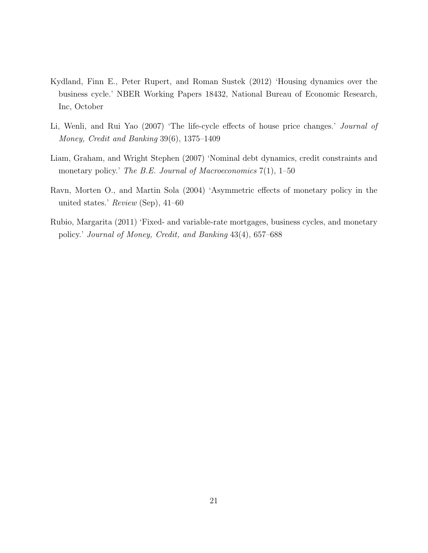- Kydland, Finn E., Peter Rupert, and Roman Sustek (2012) 'Housing dynamics over the business cycle.' NBER Working Papers 18432, National Bureau of Economic Research, Inc, October
- Li, Wenli, and Rui Yao (2007) 'The life-cycle effects of house price changes.' Journal of Money, Credit and Banking 39(6), 1375–1409
- Liam, Graham, and Wright Stephen (2007) 'Nominal debt dynamics, credit constraints and monetary policy.' The B.E. Journal of Macroeconomics  $7(1)$ , 1–50
- Ravn, Morten O., and Martin Sola (2004) 'Asymmetric effects of monetary policy in the united states.' Review (Sep), 41–60
- Rubio, Margarita (2011) 'Fixed- and variable-rate mortgages, business cycles, and monetary policy.' Journal of Money, Credit, and Banking 43(4), 657–688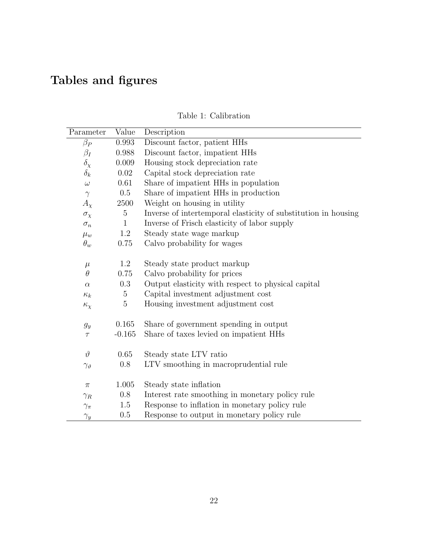# Tables and figures

| Parameter            | Value          | Description                                                    |
|----------------------|----------------|----------------------------------------------------------------|
| $\beta_P$            | 0.993          | Discount factor, patient HHs                                   |
| $\beta_I$            | 0.988          | Discount factor, impatient HHs                                 |
| $\delta_\chi$        | 0.009          | Housing stock depreciation rate                                |
| $\delta_k$           | 0.02           | Capital stock depreciation rate                                |
| $\omega$             | 0.61           | Share of impatient HHs in population                           |
| $\gamma$             | 0.5            | Share of impatient HHs in production                           |
| $A_\chi$             | 2500           | Weight on housing in utility                                   |
| $\sigma_{\chi}$      | $\overline{5}$ | Inverse of intertemporal elasticity of substitution in housing |
| $\sigma_n$           | $\mathbf{1}$   | Inverse of Frisch elasticity of labor supply                   |
| $\mu_w$              | 1.2            | Steady state wage markup                                       |
| $\theta_w$           | 0.75           | Calvo probability for wages                                    |
|                      |                |                                                                |
| $\mu$                | 1.2            | Steady state product markup                                    |
| $\theta$             | 0.75           | Calvo probability for prices                                   |
| $\alpha$             | 0.3            | Output elasticity with respect to physical capital             |
| $\kappa_k$           | $\overline{5}$ | Capital investment adjustment cost                             |
| $\kappa_\chi$        | $\overline{5}$ | Housing investment adjustment cost                             |
|                      |                |                                                                |
| $g_{\it y}$          | 0.165          | Share of government spending in output                         |
| $\tau$               | $-0.165$       | Share of taxes levied on impatient HHs                         |
|                      |                |                                                                |
| $\vartheta$          | 0.65           | Steady state LTV ratio                                         |
| $\gamma_{\vartheta}$ | 0.8            | LTV smoothing in macroprudential rule                          |
|                      |                |                                                                |
| $\pi$                | 1.005          | Steady state inflation                                         |
| $\gamma_R$           | 0.8            | Interest rate smoothing in monetary policy rule                |
| $\gamma_\pi$         | 1.5            | Response to inflation in monetary policy rule                  |
| $\gamma_y$           | 0.5            | Response to output in monetary policy rule                     |

Table 1: Calibration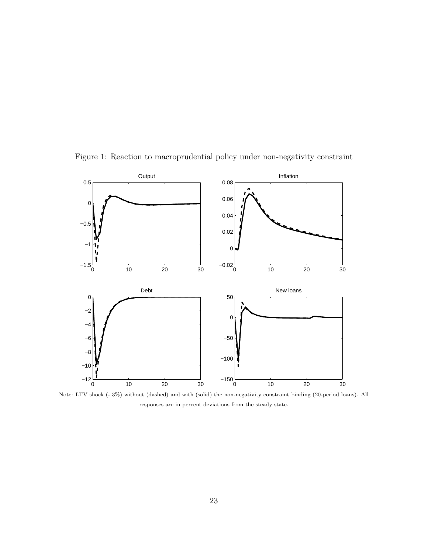

Figure 1: Reaction to macroprudential policy under non-negativity constraint

Note: LTV shock (- 3%) without (dashed) and with (solid) the non-negativity constraint binding (20-period loans). All responses are in percent deviations from the steady state.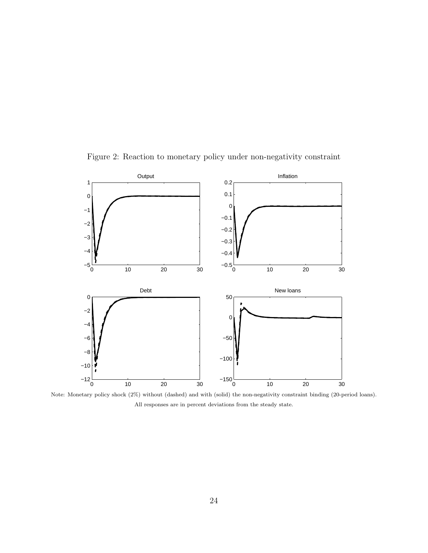

Figure 2: Reaction to monetary policy under non-negativity constraint

Note: Monetary policy shock (2%) without (dashed) and with (solid) the non-negativity constraint binding (20-period loans). All responses are in percent deviations from the steady state.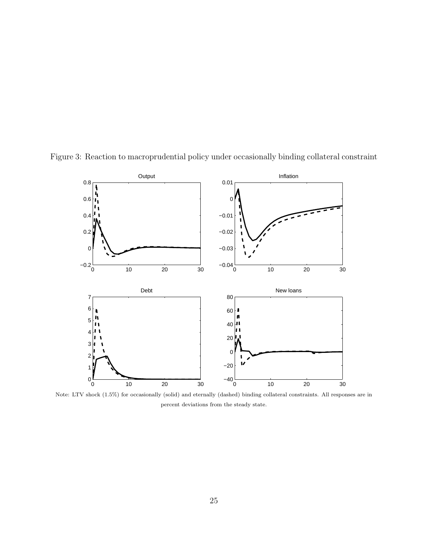

Figure 3: Reaction to macroprudential policy under occasionally binding collateral constraint

Note: LTV shock (1.5%) for occasionally (solid) and eternally (dashed) binding collateral constraints. All responses are in percent deviations from the steady state.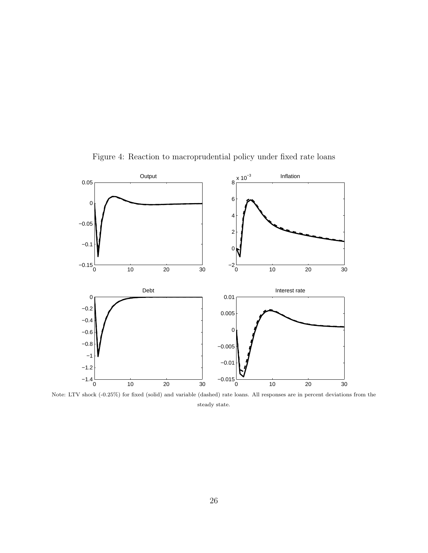

Figure 4: Reaction to macroprudential policy under fixed rate loans

Note: LTV shock (-0.25%) for fixed (solid) and variable (dashed) rate loans. All responses are in percent deviations from the steady state.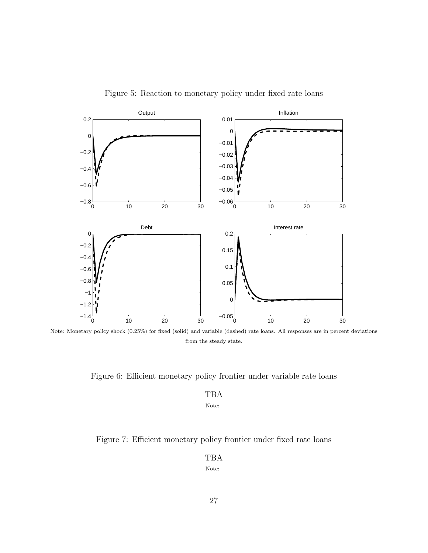

Figure 5: Reaction to monetary policy under fixed rate loans

Note: Monetary policy shock (0.25%) for fixed (solid) and variable (dashed) rate loans. All responses are in percent deviations from the steady state.

Figure 6: Efficient monetary policy frontier under variable rate loans

#### TBA

Note:

## Figure 7: Efficient monetary policy frontier under fixed rate loans

TBA

Note: